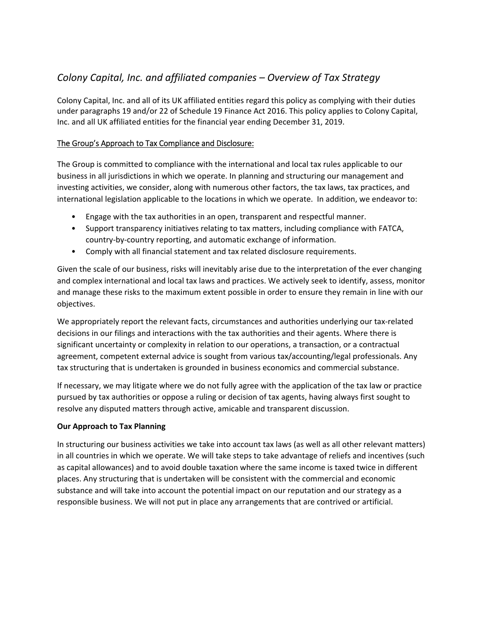# *Colony Capital, Inc. and affiliated companies – Overview of Tax Strategy*

Colony Capital, Inc. and all of its UK affiliated entities regard this policy as complying with their duties under paragraphs 19 and/or 22 of Schedule 19 Finance Act 2016. This policy applies to Colony Capital, Inc. and all UK affiliated entities for the financial year ending December 31, 2019.

## The Group's Approach to Tax Compliance and Disclosure:

The Group is committed to compliance with the international and local tax rules applicable to our business in all jurisdictions in which we operate. In planning and structuring our management and investing activities, we consider, along with numerous other factors, the tax laws, tax practices, and international legislation applicable to the locations in which we operate. In addition, we endeavor to:

- Engage with the tax authorities in an open, transparent and respectful manner.
- Support transparency initiatives relating to tax matters, including compliance with FATCA, country‐by‐country reporting, and automatic exchange of information.
- Comply with all financial statement and tax related disclosure requirements.

Given the scale of our business, risks will inevitably arise due to the interpretation of the ever changing and complex international and local tax laws and practices. We actively seek to identify, assess, monitor and manage these risks to the maximum extent possible in order to ensure they remain in line with our objectives.

We appropriately report the relevant facts, circumstances and authorities underlying our tax‐related decisions in our filings and interactions with the tax authorities and their agents. Where there is significant uncertainty or complexity in relation to our operations, a transaction, or a contractual agreement, competent external advice is sought from various tax/accounting/legal professionals. Any tax structuring that is undertaken is grounded in business economics and commercial substance.

If necessary, we may litigate where we do not fully agree with the application of the tax law or practice pursued by tax authorities or oppose a ruling or decision of tax agents, having always first sought to resolve any disputed matters through active, amicable and transparent discussion.

## **Our Approach to Tax Planning**

In structuring our business activities we take into account tax laws (as well as all other relevant matters) in all countries in which we operate. We will take steps to take advantage of reliefs and incentives (such as capital allowances) and to avoid double taxation where the same income is taxed twice in different places. Any structuring that is undertaken will be consistent with the commercial and economic substance and will take into account the potential impact on our reputation and our strategy as a responsible business. We will not put in place any arrangements that are contrived or artificial.